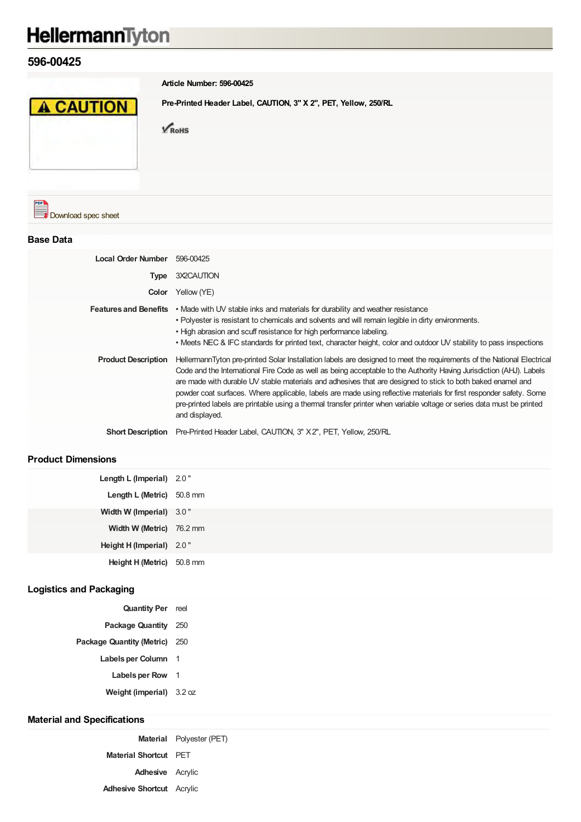# HellermannTyton

## **596-00425**



**Article Number: 596-00425**

**Pre-Printed Header Label, CAUTION, 3" X 2", PET, Yellow, 250/RL**

 $\sqrt{\text{RoHS}}$ 



#### **Base Data**

| Local Order Number 596-00425 |                                                                                                                                                                                                                                                                                                                                                                                                                                                                                                                                                                                                                                 |
|------------------------------|---------------------------------------------------------------------------------------------------------------------------------------------------------------------------------------------------------------------------------------------------------------------------------------------------------------------------------------------------------------------------------------------------------------------------------------------------------------------------------------------------------------------------------------------------------------------------------------------------------------------------------|
| Type                         | 3X2CAUTION                                                                                                                                                                                                                                                                                                                                                                                                                                                                                                                                                                                                                      |
|                              | <b>Color</b> Yellow (YE)                                                                                                                                                                                                                                                                                                                                                                                                                                                                                                                                                                                                        |
|                              | <b>Features and Benefits</b> • Made with UV stable inks and materials for durability and weather resistance<br>. Polyester is resistant to chemicals and solvents and will remain legible in dirty environments.<br>. High abrasion and scuff resistance for high performance labeling.<br>• Meets NEC & IFC standards for printed text, character height, color and outdoor UV stability to pass inspections                                                                                                                                                                                                                   |
| <b>Product Description</b>   | HellermannTyton pre-printed Solar Installation labels are designed to meet the requirements of the National Electrical<br>Code and the International Fire Code as well as being acceptable to the Authority Having Jurisdiction (AHJ). Labels<br>are made with durable UV stable materials and adhesives that are designed to stick to both baked enamel and<br>powder coat surfaces. Where applicable, labels are made using reflective materials for first responder safety. Some<br>pre-printed labels are printable using a thermal transfer printer when variable voltage or series data must be printed<br>and displayed. |
| <b>Short Description</b>     | Pre-Printed Header Label, CAUTION, 3" X 2", PET, Yellow, 250/RL                                                                                                                                                                                                                                                                                                                                                                                                                                                                                                                                                                 |

### **Product Dimensions**

| Length L (Imperial) 2.0"  |  |
|---------------------------|--|
| Length L (Metric) 50.8 mm |  |
| Width W (Imperial) 3.0"   |  |
| Width W (Metric) 76.2 mm  |  |
| Height H (Imperial) 2.0"  |  |
| Height H (Metric) 50.8 mm |  |

#### **Logistics and Packaging**

| <b>Quantity Per</b> reel          |  |
|-----------------------------------|--|
| Package Quantity 250              |  |
| Package Quantity (Metric) 250     |  |
| Labels per Column 1               |  |
| <b>Labels per Row</b>             |  |
| <b>Weight (imperial)</b> $3.2 oz$ |  |

#### **Material and Specifications**

|                                  | <b>Material</b> Polyester (PET) |
|----------------------------------|---------------------------------|
| <b>Material Shortcut</b> PET     |                                 |
| <b>Adhesive</b> Acrylic          |                                 |
| <b>Adhesive Shortcut</b> Acrylic |                                 |